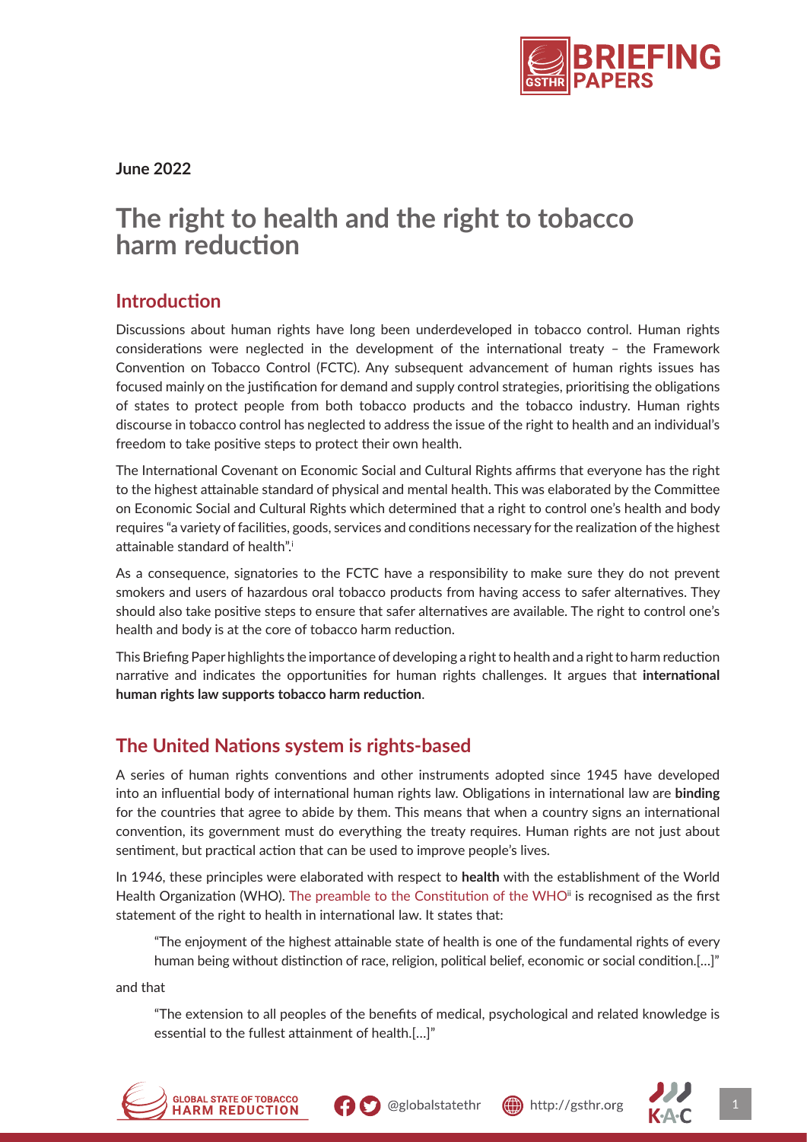

**June 2022**

# **The right to health and the right to tobacco harm reduction**

#### **Introduction**

Discussions about human rights have long been underdeveloped in tobacco control. Human rights considerations were neglected in the development of the international treaty – the Framework Convention on Tobacco Control (FCTC). Any subsequent advancement of human rights issues has focused mainly on the justification for demand and supply control strategies, prioritising the obligations of states to protect people from both tobacco products and the tobacco industry. Human rights discourse in tobacco control has neglected to address the issue of the right to health and an individual's freedom to take positive steps to protect their own health.

The International Covenant on Economic Social and Cultural Rights affirms that everyone has the right to the highest attainable standard of physical and mental health. This was elaborated by the Committee on Economic Social and Cultural Rights which determined that a right to control one's health and body requires "a variety of facilities, goods, services and conditions necessary for the realization of the highest attainable standard of health".i

As a consequence, signatories to the FCTC have a responsibility to make sure they do not prevent smokers and users of hazardous oral tobacco products from having access to safer alternatives. They should also take positive steps to ensure that safer alternatives are available. The right to control one's health and body is at the core of tobacco harm reduction.

This Briefing Paper highlights the importance of developing a right to health and a right to harm reduction narrative and indicates the opportunities for human rights challenges. It argues that **international human rights law supports tobacco harm reduction**.

## **The United Nations system is rights-based**

A series of human rights conventions and other instruments adopted since 1945 have developed into an influential body of international human rights law. Obligations in international law are **binding** for the countries that agree to abide by them. This means that when a country signs an international convention, its government must do everything the treaty requires. Human rights are not just about sentiment, but practical action that can be used to improve people's lives.

In 1946, these principles were elaborated with respect to **health** with the establishment of the World Health Organization (WHO). [The preamble to the Constitution of the WHO](https://www.who.int/about/governance/constitution)<sup>ii</sup> is recognised as the first statement of the right to health in international law. It states that:

"The enjoyment of the highest attainable state of health is one of the fundamental rights of every human being without distinction of race, religion, political belief, economic or social condition.[…]"

and that

"The extension to all peoples of the benefits of medical, psychological and related knowledge is essential to the fullest attainment of health.[…]"





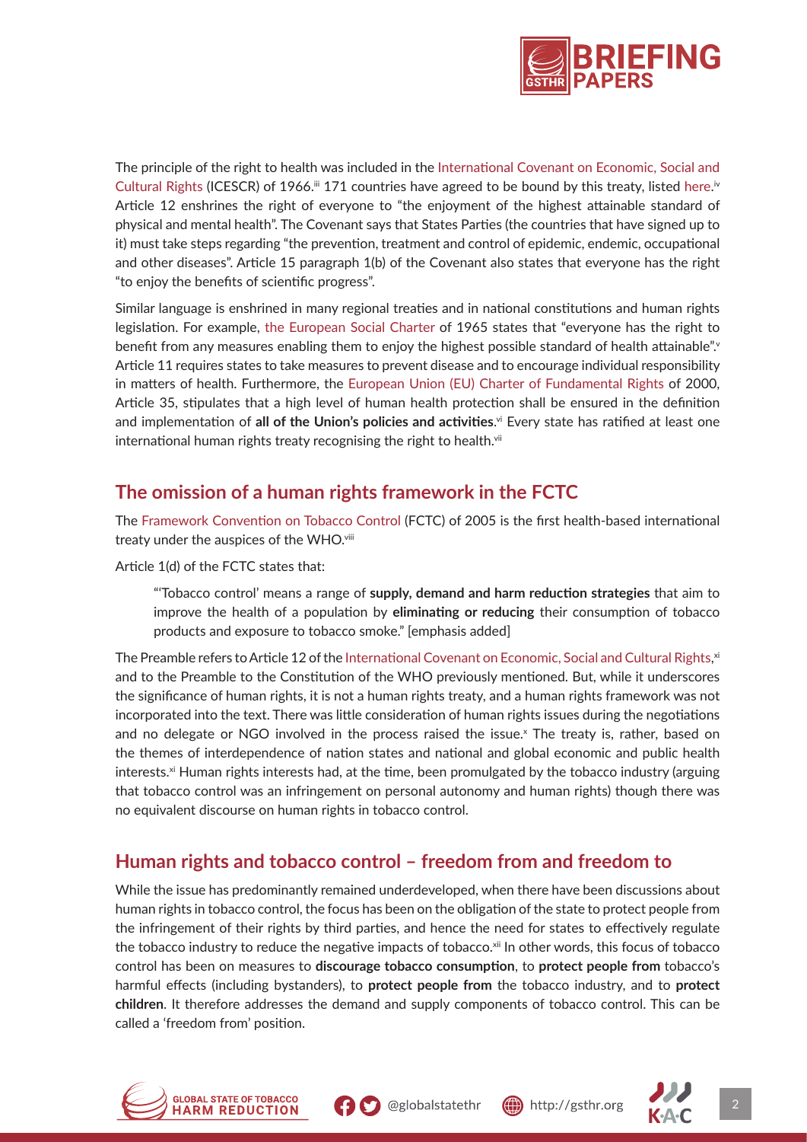

The principle of the right to health was included in the [International Covenant on Economic, Social and](https://www.ohchr.org/en/instruments-mechanisms/instruments/international-covenant-economic-social-and-cultural-rights) [Cultural Rights](https://www.ohchr.org/en/instruments-mechanisms/instruments/international-covenant-economic-social-and-cultural-rights) (ICESCR) of 1966.  $\mathbb{I}$  171 countries have agreed to be bound by this treaty, listed [here.](https://indicators.ohchr.org/)  $\mathbb{I}$ Article 12 enshrines the right of everyone to "the enjoyment of the highest attainable standard of physical and mental health". The Covenant says that States Parties (the countries that have signed up to it) must take steps regarding "the prevention, treatment and control of epidemic, endemic, occupational and other diseases". Article 15 paragraph 1(b) of the Covenant also states that everyone has the right "to enjoy the benefits of scientific progress".

Similar language is enshrined in many regional treaties and in national constitutions and human rights legislation. For example, [the European Social Charter](https://www.coe.int/en/web/conventions/full-list%3Fmodule%3Dtreaty-detail%26treatynum%3D035) of 1965 states that "everyone has the right to benefit from any measures enabling them to enjoy the highest possible standard of health attainable". Article 11 requires states to take measures to prevent disease and to encourage individual responsibility in matters of health. Furthermore, the [European Union \(EU\) Charter of Fundamental Rights](https://eur-lex.europa.eu/legal-content/EN/TXT/%3Furi%3DCELEX:12012P/TXT) of 2000, Article 35, stipulates that a high level of human health protection shall be ensured in the definition and implementation of **all of the Union's policies and activities**.<sup>vi</sup> Every state has ratified at least one international human rights treaty recognising the right to health.<sup>vii</sup>

## **The omission of a human rights framework in the FCTC**

The [Framework Convention on Tobacco Control](https://fctc.who.int/who-fctc/overview) (FCTC) of 2005 is the first health-based international treaty under the auspices of the WHO.<sup>viii</sup>

Article 1(d) of the FCTC states that:

"'Tobacco control' means a range of **supply, demand and harm reduction strategies** that aim to improve the health of a population by **eliminating or reducing** their consumption of tobacco products and exposure to tobacco smoke." [emphasis added]

The Preamble refers to Article 12 of the [International Covenant on Economic, Social and Cultural Rights,](https://www.ohchr.org/en/instruments-mechanisms/instruments/international-covenant-economic-social-and-cultural-rights) xi and to the Preamble to the Constitution of the WHO previously mentioned. But, while it underscores the significance of human rights, it is not a human rights treaty, and a human rights framework was not incorporated into the text. There was little consideration of human rights issues during the negotiations and no delegate or NGO involved in the process raised the issue.<sup>x</sup> The treaty is, rather, based on the themes of interdependence of nation states and national and global economic and public health interests.<sup>xi</sup> Human rights interests had, at the time, been promulgated by the tobacco industry (arguing that tobacco control was an infringement on personal autonomy and human rights) though there was no equivalent discourse on human rights in tobacco control.

## **Human rights and tobacco control – freedom from and freedom to**

While the issue has predominantly remained underdeveloped, when there have been discussions about human rights in tobacco control, the focus has been on the obligation of the state to protect people from the infringement of their rights by third parties, and hence the need for states to effectively regulate the tobacco industry to reduce the negative impacts of tobacco.<sup>xii</sup> In other words, this focus of tobacco control has been on measures to **discourage tobacco consumption**, to **protect people from** tobacco's harmful effects (including bystanders), to **protect people from** the tobacco industry, and to **protect children**. It therefore addresses the demand and supply components of tobacco control. This can be called a 'freedom from' position.







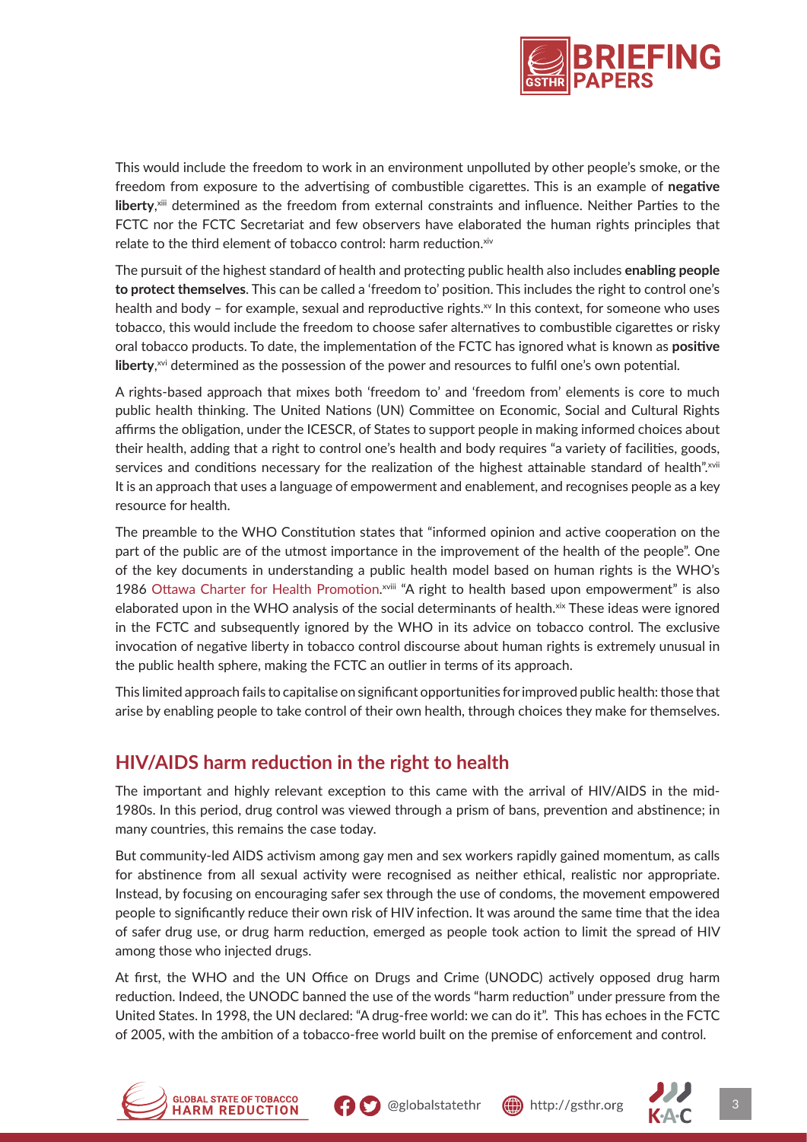

This would include the freedom to work in an environment unpolluted by other people's smoke, or the freedom from exposure to the advertising of combustible cigarettes. This is an example of **negative liberty**, xiii determined as the freedom from external constraints and influence. Neither Parties to the FCTC nor the FCTC Secretariat and few observers have elaborated the human rights principles that relate to the third element of tobacco control: harm reduction.xiv

The pursuit of the highest standard of health and protecting public health also includes **enabling people to protect themselves**. This can be called a 'freedom to' position. This includes the right to control one's health and body – for example, sexual and reproductive rights. $w$  In this context, for someone who uses tobacco, this would include the freedom to choose safer alternatives to combustible cigarettes or risky oral tobacco products. To date, the implementation of the FCTC has ignored what is known as **positive liberty**, xvi determined as the possession of the power and resources to fulfil one's own potential.

A rights-based approach that mixes both 'freedom to' and 'freedom from' elements is core to much public health thinking. The United Nations (UN) Committee on Economic, Social and Cultural Rights affirms the obligation, under the ICESCR, of States to support people in making informed choices about their health, adding that a right to control one's health and body requires "a variety of facilities, goods, services and conditions necessary for the realization of the highest attainable standard of health".xvii It is an approach that uses a language of empowerment and enablement, and recognises people as a key resource for health.

The preamble to the WHO Constitution states that "informed opinion and active cooperation on the part of the public are of the utmost importance in the improvement of the health of the people". One of the key documents in understanding a public health model based on human rights is the WHO's 1986 [Ottawa Charter for Health Promotion](https://www.who.int/teams/health-promotion/enhanced-wellbeing/first-global-conference).<sup>xviii</sup> "A right to health based upon empowerment" is also elaborated upon in the WHO analysis of the social determinants of health.<sup>xix</sup> These ideas were ignored in the FCTC and subsequently ignored by the WHO in its advice on tobacco control. The exclusive invocation of negative liberty in tobacco control discourse about human rights is extremely unusual in the public health sphere, making the FCTC an outlier in terms of its approach.

This limited approach fails to capitalise on significant opportunities for improved public health: those that arise by enabling people to take control of their own health, through choices they make for themselves.

## **HIV/AIDS harm reduction in the right to health**

The important and highly relevant exception to this came with the arrival of HIV/AIDS in the mid-1980s. In this period, drug control was viewed through a prism of bans, prevention and abstinence; in many countries, this remains the case today.

But community-led AIDS activism among gay men and sex workers rapidly gained momentum, as calls for abstinence from all sexual activity were recognised as neither ethical, realistic nor appropriate. Instead, by focusing on encouraging safer sex through the use of condoms, the movement empowered people to significantly reduce their own risk of HIV infection. It was around the same time that the idea of safer drug use, or drug harm reduction, emerged as people took action to limit the spread of HIV among those who injected drugs.

At first, the WHO and the UN Office on Drugs and Crime (UNODC) actively opposed drug harm reduction. Indeed, the UNODC banned the use of the words "harm reduction" under pressure from the United States. In 1998, the UN declared: "A drug-free world: we can do it". This has echoes in the FCTC of 2005, with the ambition of a tobacco-free world built on the premise of enforcement and control.









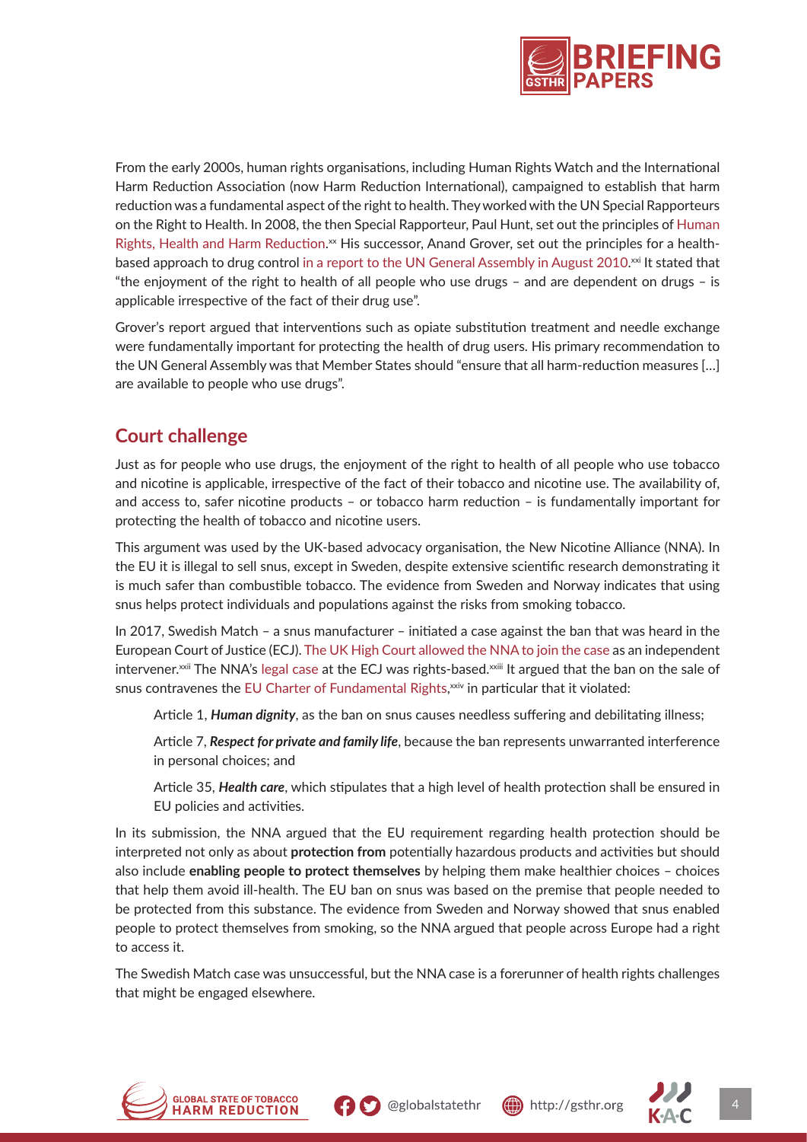

From the early 2000s, human rights organisations, including Human Rights Watch and the International Harm Reduction Association (now Harm Reduction International), campaigned to establish that harm reduction was a fundamental aspect of the right to health. They worked with the UN Special Rapporteurs on the Right to Health. In 2008, the then Special Rapporteur, Paul Hunt, set out the principles of [Human](https://www.tni.org/files/publication-downloads/hunt.pdf) [Rights, Health and Harm Reduction](https://www.tni.org/files/publication-downloads/hunt.pdf).<sup>xx</sup> His successor, Anand Grover, set out the principles for a healthbased approach to drug control [in a report to the UN General Assembly in August 2010](https://www.hr-dp.org/contents/1052).<sup>xxi</sup> It stated that "the enjoyment of the right to health of all people who use drugs – and are dependent on drugs – is applicable irrespective of the fact of their drug use".

Grover's report argued that interventions such as opiate substitution treatment and needle exchange were fundamentally important for protecting the health of drug users. His primary recommendation to the UN General Assembly was that Member States should "ensure that all harm-reduction measures […] are available to people who use drugs".

## **Court challenge**

Just as for people who use drugs, the enjoyment of the right to health of all people who use tobacco and nicotine is applicable, irrespective of the fact of their tobacco and nicotine use. The availability of, and access to, safer nicotine products – or tobacco harm reduction – is fundamentally important for protecting the health of tobacco and nicotine users.

This argument was used by the UK-based advocacy organisation, the New Nicotine Alliance (NNA). In the EU it is illegal to sell snus, except in Sweden, despite extensive scientific research demonstrating it is much safer than combustible tobacco. The evidence from Sweden and Norway indicates that using snus helps protect individuals and populations against the risks from smoking tobacco.

In 2017, Swedish Match – a snus manufacturer – initiated a case against the ban that was heard in the European Court of Justice (ECJ). [The UK High Court allowed the NNA to join the case](https://nnalliance.org/nna-challenges-the-ban-on-snus) as an independent intervener.<sup>xxii</sup> The NNA's [legal case](https://nnalliance.org/images/NNA_submission_to_European_Court_of_Justice_2017.pdf) at the ECJ was rights-based. $\frac{1}{2}$  argued that the ban on the sale of snus contravenes the [EU Charter of Fundamental Rights,](https://eur-lex.europa.eu/legal-content/EN/TXT/%3Furi%3DCELEX:12012P/TXT) $^{{\rm x} \dot{\rm w} \dot{\rm v}}$  in particular that it violated:

Article 1, *Human dignity*, as the ban on snus causes needless suffering and debilitating illness;

Article 7, *Respect for private and family life*, because the ban represents unwarranted interference in personal choices; and

Article 35, *Health care*, which stipulates that a high level of health protection shall be ensured in EU policies and activities.

In its submission, the NNA argued that the EU requirement regarding health protection should be interpreted not only as about **protection from** potentially hazardous products and activities but should also include **enabling people to protect themselves** by helping them make healthier choices – choices that help them avoid ill-health. The EU ban on snus was based on the premise that people needed to be protected from this substance. The evidence from Sweden and Norway showed that snus enabled people to protect themselves from smoking, so the NNA argued that people across Europe had a right to access it.

The Swedish Match case was unsuccessful, but the NNA case is a forerunner of health rights challenges that might be engaged elsewhere.





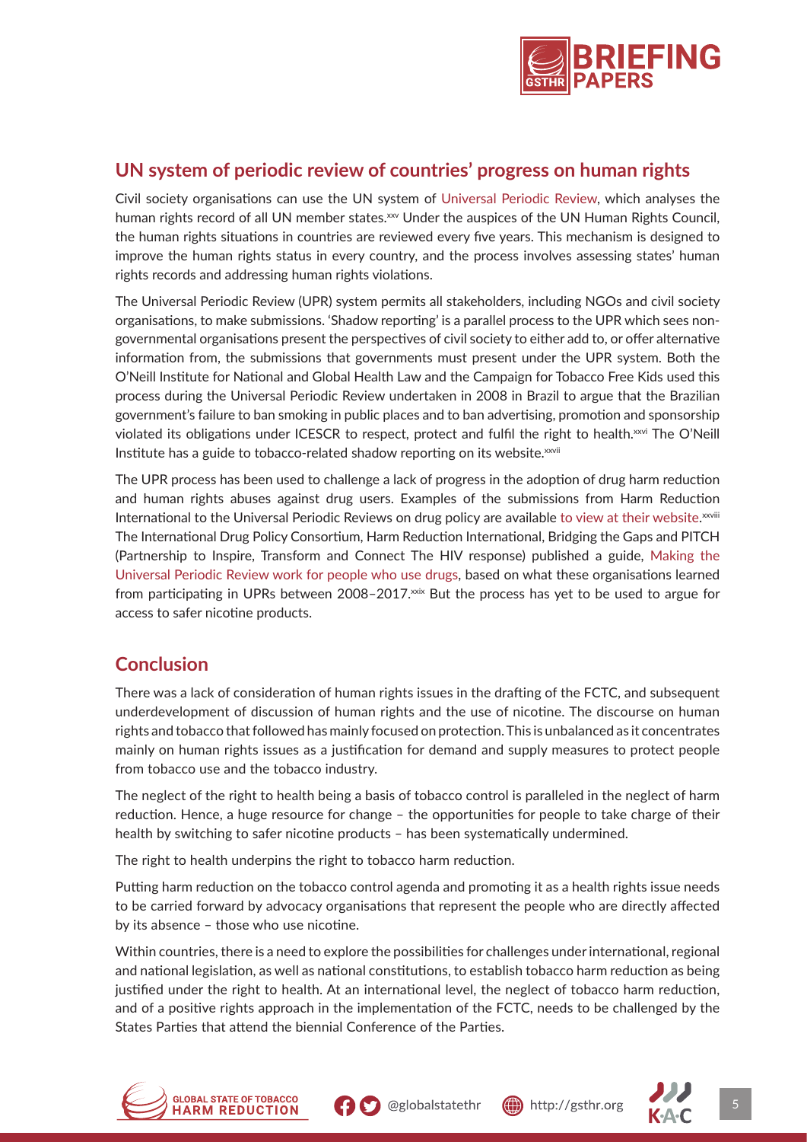

#### **UN system of periodic review of countries' progress on human rights**

Civil society organisations can use the UN system of [Universal Periodic Review,](https://www.ohchr.org/en/hr-bodies/upr/upr-main) which analyses the human rights record of all UN member states.<sup>xxv</sup> Under the auspices of the UN Human Rights Council, the human rights situations in countries are reviewed every five years. This mechanism is designed to improve the human rights status in every country, and the process involves assessing states' human rights records and addressing human rights violations.

The Universal Periodic Review (UPR) system permits all stakeholders, including NGOs and civil society organisations, to make submissions. 'Shadow reporting' is a parallel process to the UPR which sees nongovernmental organisations present the perspectives of civil society to either add to, or offer alternative information from, the submissions that governments must present under the UPR system. Both the O'Neill Institute for National and Global Health Law and the Campaign for Tobacco Free Kids used this process during the Universal Periodic Review undertaken in 2008 in Brazil to argue that the Brazilian government's failure to ban smoking in public places and to ban advertising, promotion and sponsorship violated its obligations under ICESCR to respect, protect and fulfil the right to health.<sup>xxvi</sup> The O'Neill Institute has a guide to tobacco-related shadow reporting on its website.<sup>xxvii</sup>

The UPR process has been used to challenge a lack of progress in the adoption of drug harm reduction and human rights abuses against drug users. Examples of the submissions from Harm Reduction International to the Universal Periodic Reviews on drug policy are available [to view at their website](https://www.hri.global/contents/1875).  $^{x}$ The International Drug Policy Consortium, Harm Reduction International, Bridging the Gaps and PITCH (Partnership to Inspire, Transform and Connect The HIV response) published a guide, [Making the](http://fileserver.idpc.net/library/PITCH_Making_UPR_Work_PUD.pdf) [Universal Periodic Review work for people who use drugs](http://fileserver.idpc.net/library/PITCH_Making_UPR_Work_PUD.pdf), based on what these organisations learned from participating in UPRs between 2008-2017.xxix But the process has yet to be used to argue for access to safer nicotine products.

## **Conclusion**

There was a lack of consideration of human rights issues in the drafting of the FCTC, and subsequent underdevelopment of discussion of human rights and the use of nicotine. The discourse on human rights and tobacco that followed has mainly focused on protection. This is unbalanced as it concentrates mainly on human rights issues as a justification for demand and supply measures to protect people from tobacco use and the tobacco industry.

The neglect of the right to health being a basis of tobacco control is paralleled in the neglect of harm reduction. Hence, a huge resource for change – the opportunities for people to take charge of their health by switching to safer nicotine products – has been systematically undermined.

The right to health underpins the right to tobacco harm reduction.

Putting harm reduction on the tobacco control agenda and promoting it as a health rights issue needs to be carried forward by advocacy organisations that represent the people who are directly affected by its absence – those who use nicotine.

Within countries, there is a need to explore the possibilities for challenges under international, regional and national legislation, as well as national constitutions, to establish tobacco harm reduction as being justified under the right to health. At an international level, the neglect of tobacco harm reduction, and of a positive rights approach in the implementation of the FCTC, needs to be challenged by the States Parties that attend the biennial Conference of the Parties.





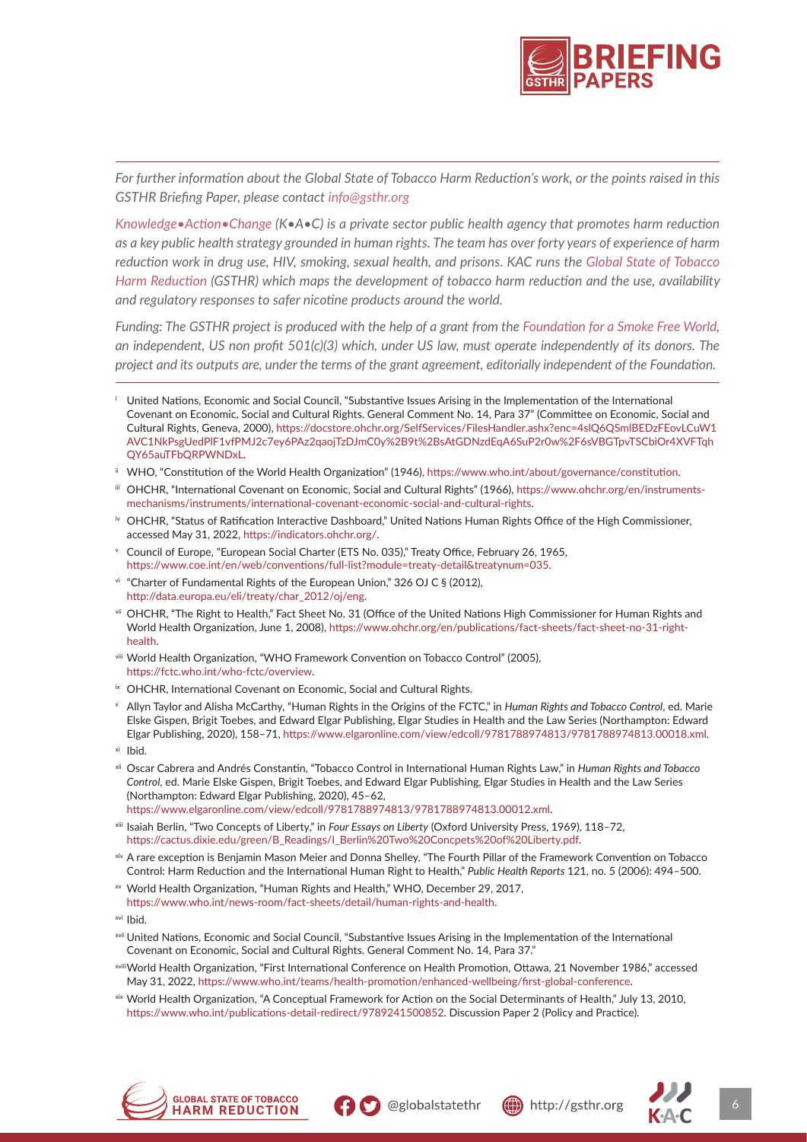

*For further information about the Global State of Tobacco Harm Reduction's work, or the points raised in this GSTHR Briefing Paper, please contact info@gsthr.org*

*[Knowledge•Action•Change](https://kachange.eu/) (K•A•C) is a private sector public health agency that promotes harm reduction as a key public health strategy grounded in human rights. The team has over forty years of experience of harm reduction work in drug use, HIV, smoking, sexual health, and prisons. KAC runs the [Global State of Tobacco](https://gsthr.org/) [Harm Reduction](https://gsthr.org/) (GSTHR) which maps the development of tobacco harm reduction and the use, availability and regulatory responses to safer nicotine products around the world.*

*Funding: The GSTHR project is produced with the help of a grant from the [Foundation for a Smoke Free World,](https://www.smokefreeworld.org/) an independent, US non profit 501(c)(3) which, under US law, must operate independently of its donors. The project and its outputs are, under the terms of the grant agreement, editorially independent of the Foundation.*

- WHO, "Constitution of the World Health Organization" (1946), https://www.who.int/about/governance/constitution.
- iii OHCHR, "International Covenant on Economic, Social and Cultural Rights" (1966), https://www.ohchr.org/en/instrumentsmechanisms/instruments/international-covenant-economic-social-and-cultural-rights.
- iv OHCHR, "Status of Ratification Interactive Dashboard," United Nations Human Rights Office of the High Commissioner, accessed May 31, 2022, https://indicators.ohchr.org/.
- $\overline{v}$  Council of Europe, "European Social Charter (ETS No. 035)," Treaty Office, February 26, 1965, https://www.coe.int/en/web/conventions/full-list?module=treaty-detail&treatynum=035.
- vi "Charter of Fundamental Rights of the European Union," 326 OJ C § (2012), http://data.europa.eu/eli/treaty/char\_2012/oj/eng.
- vii OHCHR, "The Right to Health," Fact Sheet No. 31 (Office of the United Nations High Commissioner for Human Rights and World Health Organization, June 1, 2008), https://www.ohchr.org/en/publications/fact-sheets/fact-sheet-no-31-righthealth.
- viii World Health Organization, "WHO Framework Convention on Tobacco Control" (2005), https://fctc.who.int/who-fctc/overview.
- ix OHCHR, International Covenant on Economic, Social and Cultural Rights.
- <sup>x</sup> Allyn Taylor and Alisha McCarthy, "Human Rights in the Origins of the FCTC," in *Human Rights and Tobacco Control*, ed. Marie Elske Gispen, Brigit Toebes, and Edward Elgar Publishing, Elgar Studies in Health and the Law Series (Northampton: Edward Elgar Publishing, 2020), 158–71, https://www.elgaronline.com/view/edcoll/9781788974813/9781788974813.00018.xml.
- xi Ibid.
- xii Oscar Cabrera and Andrés Constantin, "Tobacco Control in International Human Rights Law," in *Human Rights and Tobacco Control*, ed. Marie Elske Gispen, Brigit Toebes, and Edward Elgar Publishing, Elgar Studies in Health and the Law Series (Northampton: Edward Elgar Publishing, 2020), 45–62,

https://www.elgaronline.com/view/edcoll/9781788974813/9781788974813.00012.xml.

- xiii Isaiah Berlin, "Two Concepts of Liberty," in *Four Essays on Liberty* (Oxford University Press, 1969), 118–72, https://cactus.dixie.edu/green/B\_Readings/I\_Berlin%20Two%20Concpets%20of%20Liberty.pdf.
- xiv A rare exception is Benjamin Mason Meier and Donna Shelley, "The Fourth Pillar of the Framework Convention on Tobacco Control: Harm Reduction and the International Human Right to Health," *Public Health Reports* 121, no. 5 (2006): 494–500.
- xv World Health Organization, "Human Rights and Health," WHO, December 29, 2017, https://www.who.int/news-room/fact-sheets/detail/human-rights-and-health.
- xvi Ibid.
- xvii United Nations, Economic and Social Council, "Substantive Issues Arising in the Implementation of the International Covenant on Economic, Social and Cultural Rights. General Comment No. 14, Para 37."
- xviiiWorld Health Organization, "First International Conference on Health Promotion, Ottawa, 21 November 1986," accessed May 31, 2022, https://www.who.int/teams/health-promotion/enhanced-wellbeing/first-global-conference.
- xix World Health Organization, "A Conceptual Framework for Action on the Social Determinants of Health," July 13, 2010, https://www.who.int/publications-detail-redirect/9789241500852. Discussion Paper 2 (Policy and Practice).







United Nations, Economic and Social Council, "Substantive Issues Arising in the Implementation of the International Covenant on Economic, Social and Cultural Rights. General Comment No. 14, Para 37" (Committee on Economic, Social and Cultural Rights, Geneva, 2000), https://docstore.ohchr.org/SelfServices/FilesHandler.ashx?enc=4slQ6QSmlBEDzFEovLCuW1 AVC1NkPsgUedPlF1vfPMJ2c7ey6PAz2qaojTzDJmC0y%2B9t%2BsAtGDNzdEqA6SuP2r0w%2F6sVBGTpvTSCbiOr4XVFTqh QY65auTFbQRPWNDxL.